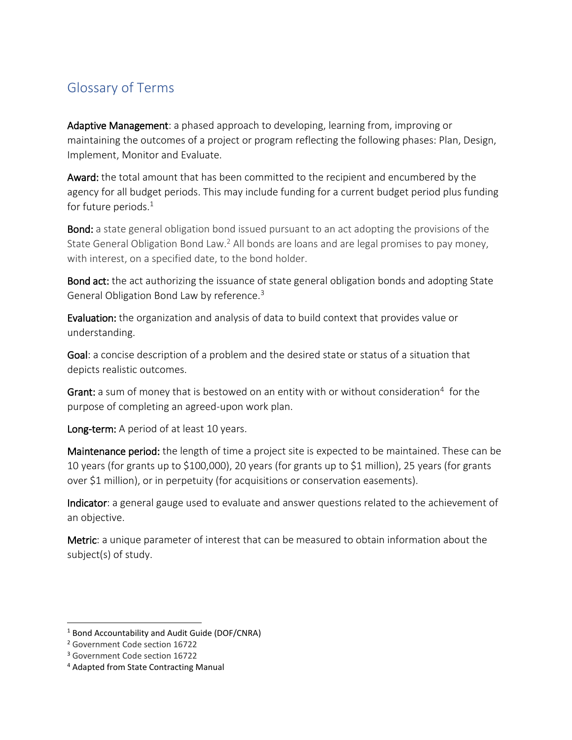## Glossary of Terms

Adaptive Management: a phased approach to developing, learning from, improving or maintaining the outcomes of a project or program reflecting the following phases: Plan, Design, Implement, Monitor and Evaluate.

Award: the total amount that has been committed to the recipient and encumbered by the agency for all budget periods. This may include funding for a current budget period plus funding for future periods. $1$ 

**Bond:** a state general obligation bond issued pursuant to an act adopting the provisions of the State General Obligation Bond Law.<sup>2</sup> All bonds are loans and are legal promises to pay money, with interest, on a specified date, to the bond holder.

Bond act: the act authorizing the issuance of state general obligation bonds and adopting State General Obligation Bond Law by reference.<sup>3</sup>

Evaluation: the organization and analysis of data to build context that provides value or understanding.

Goal: a concise description of a problem and the desired state or status of a situation that depicts realistic outcomes.

Grant: a sum of money that is bestowed on an entity with or without consideration<sup>4</sup> for the purpose of completing an agreed-upon work plan.

Long-term: A period of at least 10 years.

Maintenance period: the length of time a project site is expected to be maintained. These can be 10 years (for grants up to \$100,000), 20 years (for grants up to \$1 million), 25 years (for grants over \$1 million), or in perpetuity (for acquisitions or conservation easements).

Indicator: a general gauge used to evaluate and answer questions related to the achievement of an objective.

Metric: a unique parameter of interest that can be measured to obtain information about the subject(s) of study.

<sup>&</sup>lt;sup>1</sup> Bond Accountability and Audit Guide (DOF/CNRA)

<sup>2</sup> Government Code section 16722

<sup>3</sup> Government Code section 16722

<sup>4</sup> Adapted from State Contracting Manual